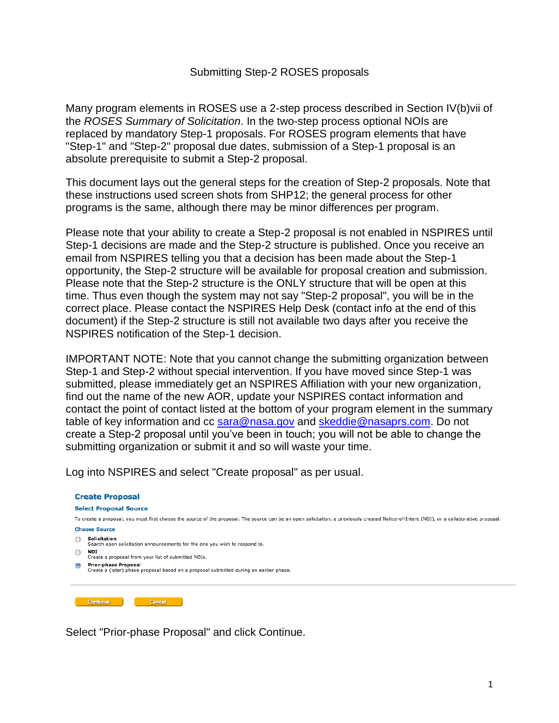## Submitting Step-2 ROSES proposals

Many program elements in ROSES use a 2-step process described in Section IV(b)vii of the *ROSES Summary of Solicitation*. In the two-step process optional NOIs are replaced by mandatory Step-1 proposals. For ROSES program elements that have "Step-1" and "Step-2" proposal due dates, submission of a Step-1 proposal is an absolute prerequisite to submit a Step-2 proposal.

This document lays out the general steps for the creation of Step-2 proposals. Note that these instructions used screen shots from SHP12; the general process for other programs is the same, although there may be minor differences per program.

Please note that your ability to create a Step-2 proposal is not enabled in NSPIRES until Step-1 decisions are made and the Step-2 structure is published. Once you receive an email from NSPIRES telling you that a decision has been made about the Step-1 opportunity, the Step-2 structure will be available for proposal creation and submission. Please note that the Step-2 structure is the ONLY structure that will be open at this time. Thus even though the system may not say "Step-2 proposal", you will be in the correct place. Please contact the NSPIRES Help Desk (contact info at the end of this document) if the Step-2 structure is still not available two days after you receive the NSPIRES notification of the Step-1 decision.

IMPORTANT NOTE: Note that you cannot change the submitting organization between Step-1 and Step-2 without special intervention. If you have moved since Step-1 was submitted, please immediately get an NSPIRES Affiliation with your new organization, find out the name of the new AOR, update your NSPIRES contact information and contact the point of contact listed at the bottom of your program element in the summary table of key information and cc [sara@nasa.gov](mailto:sara@nasa.gov) and [skeddie@nasaprs.com.](mailto:skeddie@nasaprs.com) Do not create a Step-2 proposal until you've been in touch; you will not be able to change the submitting organization or submit it and so will waste your time.

Log into NSPIRES and select "Create proposal" as per usual.

## **Create Proposal Select Proposal Source** To create a proposal, you must first choose the source of the proposal. The source can be an open solicitation, a previously created Notice-of-Intent (NOI), or a collaborative proposal. **Choose Source**  $\bigcirc$  Solicitation Search open solicitation announcements for the one you wish to respond to.  $\bigcirc$  **NOI**<br>Create a proposal from your list of submitted NOIs. **C** Prior-phase Proposal<br>Create a (later) phase proposal based on a proposal submitted during an earlier phase. Continue Cancel

Select "Prior-phase Proposal" and click Continue.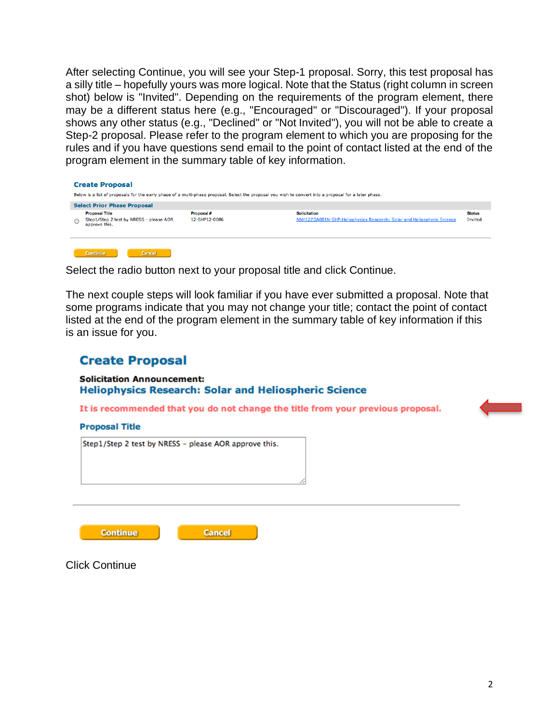After selecting Continue, you will see your Step-1 proposal. Sorry, this test proposal has a silly title – hopefully yours was more logical. Note that the Status (right column in screen shot) below is "Invited". Depending on the requirements of the program element, there may be a different status here (e.g., "Encouraged" or "Discouraged"). If your proposal shows any other status (e.g., "Declined" or "Not Invited"), you will not be able to create a Step-2 proposal. Please refer to the program element to which you are proposing for the rules and if you have questions send email to the point of contact listed at the end of the program element in the summary table of key information.

| <b>Create Proposal</b> |                                                                                                                                                        |                             |                                                                                                |                          |  |  |  |
|------------------------|--------------------------------------------------------------------------------------------------------------------------------------------------------|-----------------------------|------------------------------------------------------------------------------------------------|--------------------------|--|--|--|
|                        | Below is a list of proposals for the early phase of a multi-phase proposal. Select the proposal you wish to convert into a proposal for a later phase. |                             |                                                                                                |                          |  |  |  |
|                        | <b>Select Prior Phase Proposal</b>                                                                                                                     |                             |                                                                                                |                          |  |  |  |
| Ο                      | <b>Proposal Title</b><br>Step1/Step 2 test by NRESS - please AOR<br>approve this.                                                                      | Proposal #<br>12-SHP12-0086 | <b>Solicitation</b><br>NNH12ZDA001N-SHP: Heliophysics Research: Solar and Heliospheric Science | <b>Status</b><br>Invited |  |  |  |
|                        | the property of the company of the<br><b>Construction of the Construction</b>                                                                          |                             |                                                                                                |                          |  |  |  |

Select the radio button next to your proposal title and click Continue.

The next couple steps will look familiar if you have ever submitted a proposal. Note that some programs indicate that you may not change your title; contact the point of contact listed at the end of the program element in the summary table of key information if this is an issue for you.

# **Create Proposal**

### **Solicitation Announcement: Heliophysics Research: Solar and Heliospheric Science**

It is recommended that you do not change the title from your previous proposal.

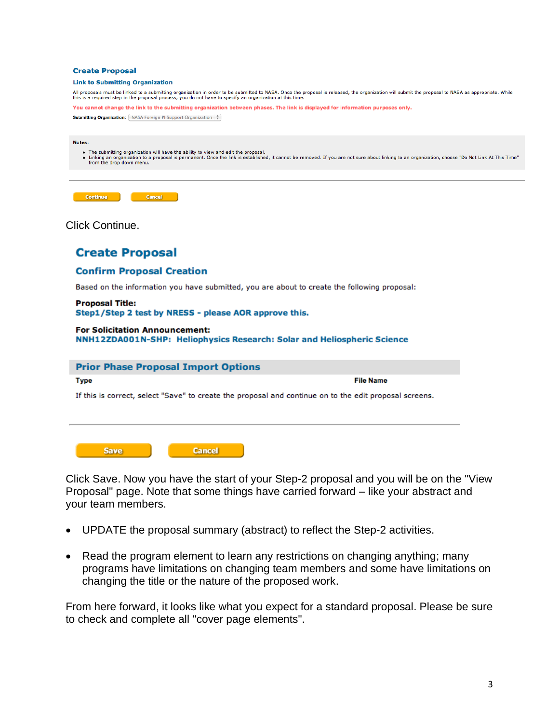### **Create Proposal**

#### **Link to Submitting Organization**

All proposals must be linked to a submitting organization in order to be submitted to NASA. Once the proposal is released, the organization will submit the proposal to NASA as appropriate. While<br>this is a required step in

You cannot change the link to the submitting organization between phases. The link is displayed for information purposes only.

**Submitting Organization:** NASA Foreign PI Support Organization :

#### Notes:

- 
- The submitting organization will have the ability to view and edit the proposal.<br>• Linking an organization to a proposal is permanent. Once the link is established, it cannot be removed. If you are not sure about linking

| Continue <sup>1</sup> |  |
|-----------------------|--|

Click Continue.

## **Create Proposal**

### **Confirm Proposal Creation**

Based on the information you have submitted, you are about to create the following proposal:

### **Proposal Title:** Step1/Step 2 test by NRESS - please AOR approve this.

### **For Solicitation Announcement:** NNH12ZDA001N-SHP: Heliophysics Research: Solar and Heliospheric Science

### **Prior Phase Proposal Import Options**

### **Type**

**File Name** 

If this is correct, select "Save" to create the proposal and continue on to the edit proposal screens.

| <b>Cancel</b> |
|---------------|
|               |

Click Save. Now you have the start of your Step-2 proposal and you will be on the "View Proposal" page. Note that some things have carried forward – like your abstract and your team members.

- UPDATE the proposal summary (abstract) to reflect the Step-2 activities.
- Read the program element to learn any restrictions on changing anything; many programs have limitations on changing team members and some have limitations on changing the title or the nature of the proposed work.

From here forward, it looks like what you expect for a standard proposal. Please be sure to check and complete all "cover page elements".